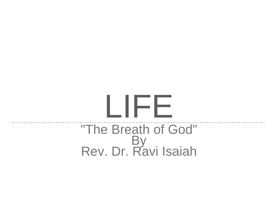### LIFE"The Breath of God" By Rev. Dr. Ravi Isaiah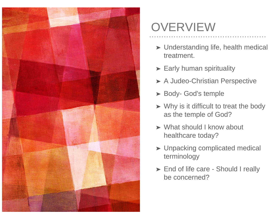

#### **OVERVIEW**

- ➤ Understanding life, health medical treatment.
- ► Early human spirituality
- ► A Judeo-Christian Perspective
- ➤ Body- God's temple
- ➤ Why is it difficult to treat the body as the temple of God?
- ➤ What should I know about healthcare today?
- ➤ Unpacking complicated medical terminology
- ➤ End of life care Should I really be concerned?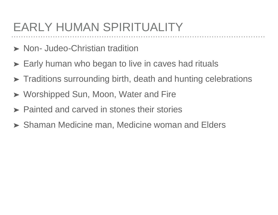#### EARLY HUMAN SPIRITUALITY

- ► Non- Judeo-Christian tradition
- ► Early human who began to live in caves had rituals
- ➤ Traditions surrounding birth, death and hunting celebrations
- ➤ Worshipped Sun, Moon, Water and Fire
- ➤ Painted and carved in stones their stories
- ➤ Shaman Medicine man, Medicine woman and Elders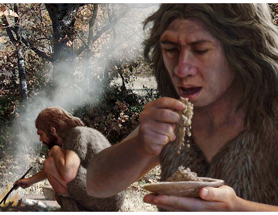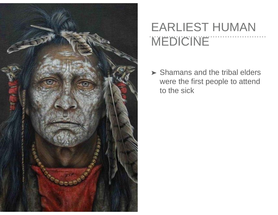

#### EARLIEST HUMAN MEDICINE

► Shamans and the tribal elders were the first people to attend to the sick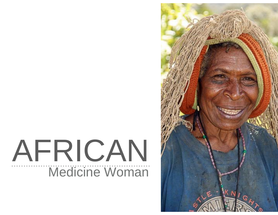### AFRICAN Medicine Woman

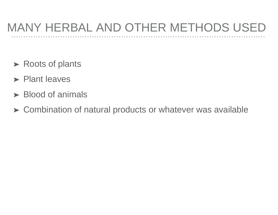#### MANY HERBAL AND OTHER METHODS USED

- ► Roots of plants
- ➤ Plant leaves
- ► Blood of animals
- ➤ Combination of natural products or whatever was available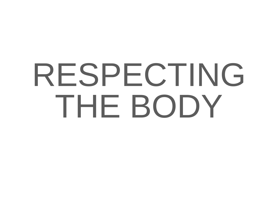# RESPECTING THE BODY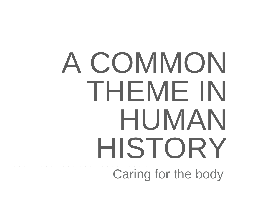## A COMMON THEME IN HUMAN HISTORY

Caring for the body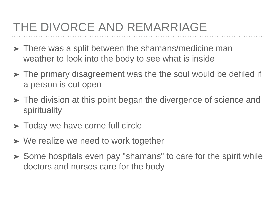#### THE DIVORCE AND REMARRIAGE

- ➤ There was a split between the shamans/medicine man weather to look into the body to see what is inside
- ➤ The primary disagreement was the the soul would be defiled if a person is cut open
- ➤ The division at this point began the divergence of science and spirituality
- ➤ Today we have come full circle
- ► We realize we need to work together
- ➤ Some hospitals even pay "shamans" to care for the spirit while doctors and nurses care for the body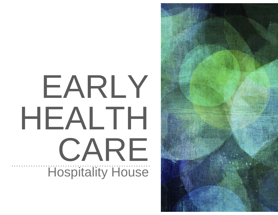## EARLY HEALTHCARE Hospitality House

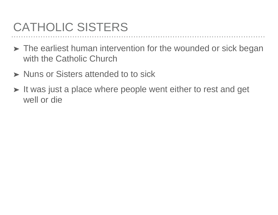#### CATHOLIC SISTERS

- ➤ The earliest human intervention for the wounded or sick began with the Catholic Church
- ➤ Nuns or Sisters attended to to sick
- ➤ It was just a place where people went either to rest and get well or die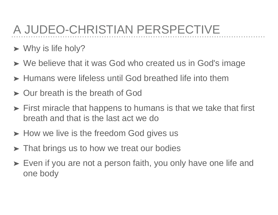#### A JUDEO-CHRISTIAN PERSPECTIVE

- ► Why is life holy?
- ➤ We believe that it was God who created us in God's image
- ► Humans were lifeless until God breathed life into them
- ► Our breath is the breath of God
- ➤ First miracle that happens to humans is that we take that first breath and that is the last act we do
- ► How we live is the freedom God gives us
- ➤ That brings us to how we treat our bodies
- ➤ Even if you are not a person faith, you only have one life and one body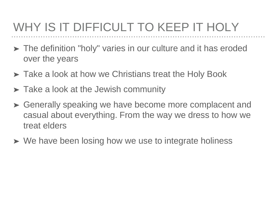#### WHY IS IT DIFFICULT TO KEEP IT HOLY

- ➤ The definition "holy" varies in our culture and it has eroded over the years
- ➤ Take a look at how we Christians treat the Holy Book
- ➤ Take a look at the Jewish community
- ➤ Generally speaking we have become more complacent and casual about everything. From the way we dress to how we treat elders
- ➤ We have been losing how we use to integrate holiness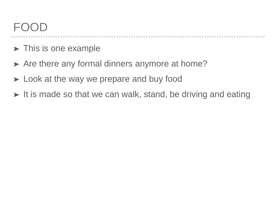#### FOOD

- ► This is one example
- ➤ Are there any formal dinners anymore at home?
- ► Look at the way we prepare and buy food
- ➤ It is made so that we can walk, stand, be driving and eating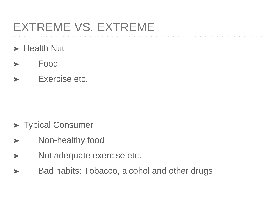#### EXTREME VS. EXTREME

- ➤ Health Nut
- ➤Food
- ➤Exercise etc.

- ➤ Typical Consumer
- ➤Non-healthy food
- ➤Not adequate exercise etc.
- ➤Bad habits: Tobacco, alcohol and other drugs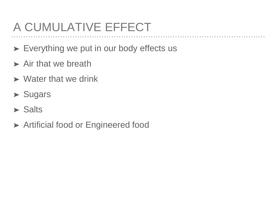#### A CUMULATIVE EFFECT

- ► Everything we put in our body effects us
- ► Air that we breath
- ► Water that we drink
- ➤ Sugars
- ➤ Salts
- ➤ Artificial food or Engineered food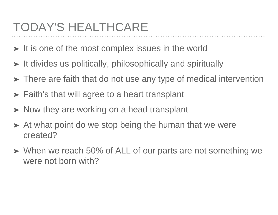#### TODAY'S HEALTHCARE

- ➤ It is one of the most complex issues in the world
- ➤ It divides us politically, philosophically and spiritually
- ➤ There are faith that do not use any type of medical intervention
- ➤ Faith's that will agree to a heart transplant
- ➤ Now they are working on a head transplant
- ► At what point do we stop being the human that we were created?
- ➤ When we reach 50% of ALL of our parts are not something we were not born with?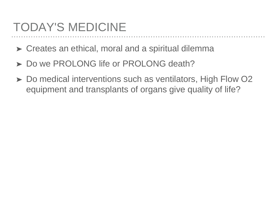#### TODAY'S MEDICINE

- ➤ Creates an ethical, moral and a spiritual dilemma
- ► Do we PROLONG life or PROLONG death?
- ► Do medical interventions such as ventilators, High Flow O2 equipment and transplants of organs give quality of life?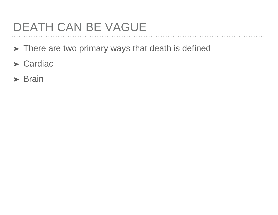#### DEATH CAN BE VAGUE

➤ There are two primary ways that death is defined

. . . . . . . . . .

- ➤ Cardiac
- ➤ Brain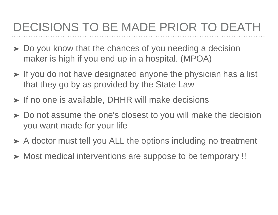#### DECISIONS TO BE MADE PRIOR TO DEATH

- ► Do you know that the chances of you needing a decision maker is high if you end up in a hospital. (MPOA)
- ➤ If you do not have designated anyone the physician has a list that they go by as provided by the State Law
- ➤ If no one is available, DHHR will make decisions
- ➤ Do not assume the one's closest to you will make the decision you want made for your life
- ➤ A doctor must tell you ALL the options including no treatment
- ► Most medical interventions are suppose to be temporary !!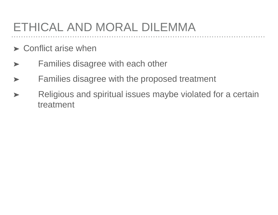#### ETHICAL AND MORAL DILEMMA

- ► Conflict arise when
- ➤Families disagree with each other
- ➤Families disagree with the proposed treatment
- ➤ Religious and spiritual issues maybe violated for a certain treatment